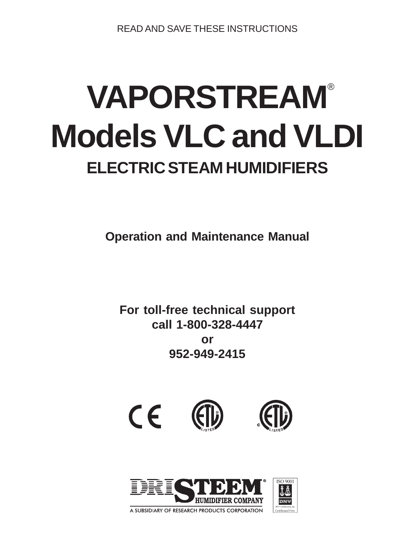READ AND SAVE THESE INSTRUCTIONS

# **VAPORSTREAM** ® **Models VLC and VLDI ELECTRIC STEAM HUMIDIFIERS**

**Operation and Maintenance Manual**

**For toll-free technical support call 1-800-328-4447 or 952-949-2415**



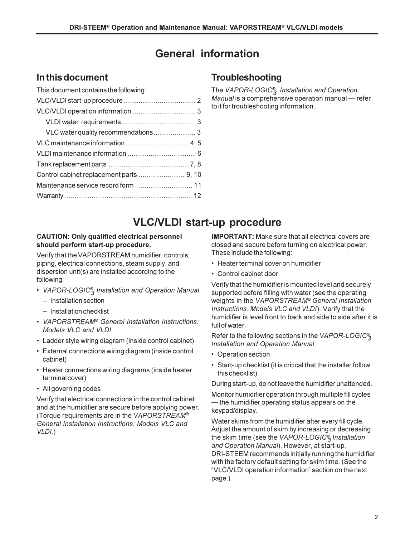## **General information**

## **In this document**

| This document contains the following: |  |
|---------------------------------------|--|
|                                       |  |
|                                       |  |
|                                       |  |
|                                       |  |
|                                       |  |
|                                       |  |
|                                       |  |
|                                       |  |
|                                       |  |
|                                       |  |

## **Troubleshooting**

The *VAPOR-LOGIC® <sup>3</sup> Installation and Operation Manual* is a comprehensive operation manual – refer to it for troubleshooting information.

## **VLC/VLDI start-up procedure**

#### **CAUTION: Only qualified electrical personnel should perform start-up procedure.**

Verify that the VAPORSTREAM humidifier, controls, piping, electrical connections, steam supply, and dispersion unit(s) are installed according to the following:

- *VAPOR-LOGIC® <sup>3</sup> Installation and Operation Manual*
	- Installation section
	- Installation checklist
- *VAPORSTREAM® General Installation Instructions: Models VLC and VLDI*
- Ladder style wiring diagram (inside control cabinet)
- External connections wiring diagram (inside control cabinet)
- Heater connections wiring diagrams (inside heater terminal cover)
- All governing codes

Verify that electrical connections in the control cabinet and at the humidifier are secure before applying power. (Torque requirements are in the *VAPORSTREAM® General Installation Instructions: Models VLC and VLDI*.)

**IMPORTANT:** Make sure that all electrical covers are closed and secure before turning on electrical power. These include the following:

- Heater terminal cover on humidifier
- Control cabinet door

Verify that the humidifier is mounted level and securely supported before filling with water (see the operating weights in the *VAPORSTREAM® General Installation Instructions: Models VLC and VLDI*). Verify that the humidifier is level front to back and side to side after it is full of water.

Refer to the following sections in the *VAPOR-LOGIC® 3 Installation and Operation Manual*:

- Operation section
- Start-up checklist (it is critical that the installer follow this checklist)

During start-up, do not leave the humidifier unattended.

Monitor humidifier operation through multiple fill cycles - the humidifier operating status appears on the keypad/display.

Water skims from the humidifier after every fill cycle. Adjust the amount of skim by increasing or decreasing the skim time (see the *VAPOR-LOGIC® <sup>3</sup>Installation and Operation Manual*). However, at start-up, DRI-STEEM recommends initially running the humidifier with the factory default setting for skim time. (See the "VLC/VLDI operation information" section on the next page.)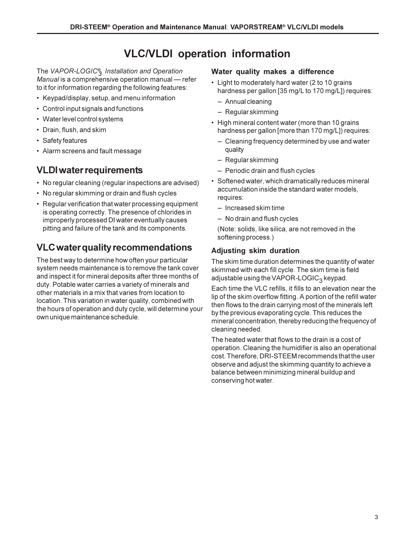## **VLC/VLDI operation information**

The *VAPOR-LOGIC® <sup>3</sup> Installation and Operation Manual* is a comprehensive operation manual – refer to it for information regarding the following features:

- Keypad/display, setup, and menu information
- Control input signals and functions
- Water level control systems
- Drain, flush, and skim
- Safety features
- Alarm screens and fault message

## **VLDI water requirements**

- No regular cleaning (regular inspections are advised)
- No regular skimming or drain and flush cycles
- Regular verification that water processing equipment is operating correctly. The presence of chlorides in improperly processed DI water eventually causes pitting and failure of the tank and its components.

## **VLC water quality recommendations**

The best way to determine how often your particular system needs maintenance is to remove the tank cover and inspect it for mineral deposits after three months of duty. Potable water carries a variety of minerals and other materials in a mix that varies from location to location. This variation in water quality, combined with the hours of operation and duty cycle, will determine your own unique maintenance schedule.

#### **Water quality makes a difference**

- Light to moderately hard water (2 to 10 grains hardness per gallon [35 mg/L to 170 mg/L]) requires:
	- Annual cleaning
	- Regular skimming
- High mineral content water (more than 10 grains hardness per gallon [more than 170 mg/L]) requires:
	- Cleaning frequency determined by use and water quality
	- Regular skimming
	- Periodic drain and flush cycles
- Softened water, which dramatically reduces mineral accumulation inside the standard water models, requires:
	- Increased skim time
	- No drain and flush cycles

(Note: solids, like silica, are not removed in the softening process.)

#### **Adjusting skim duration**

The skim time duration determines the quantity of water skimmed with each fill cycle. The skim time is field adjustable using the VAPOR-LOGIC<sub>3</sub> keypad.

Each time the VLC refills, it fills to an elevation near the lip of the skim overflow fitting. A portion of the refill water then flows to the drain carrying most of the minerals left by the previous evaporating cycle. This reduces the mineral concentration, thereby reducing the frequency of cleaning needed.

The heated water that flows to the drain is a cost of operation. Cleaning the humidifier is also an operational cost. Therefore, DRI-STEEM recommends that the user observe and adjust the skimming quantity to achieve a balance between minimizing mineral buildup and conserving hot water.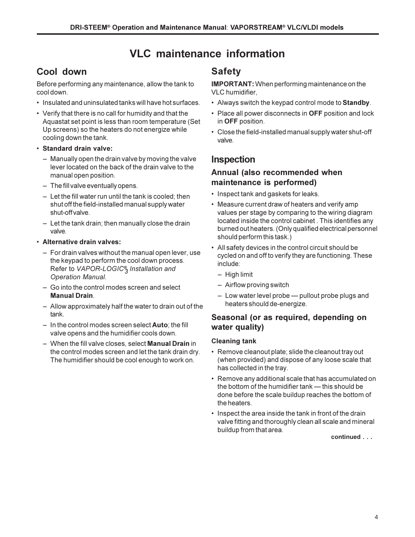## **VLC maintenance information**

## **Cool down**

Before performing any maintenance, allow the tank to cool down.

- Insulated and uninsulated tanks will have hot surfaces.
- Verify that there is no call for humidity and that the Aquastat set point is less than room temperature (Set Up screens) so the heaters do not energize while cooling down the tank.
- **Standard drain valve:**
	- Manually open the drain valve by moving the valve lever located on the back of the drain valve to the manual open position.
	- The fill valve eventually opens.
	- $-$  Let the fill water run until the tank is cooled; then shut off the field-installed manual supply water shut-off valve.
	- $-$  Let the tank drain; then manually close the drain valve.
- **Alternative drain valves:**
	- For drain valves without the manual open lever, use the keypad to perform the cool down process. Refer to *VAPOR-LOGIC® <sup>3</sup>Installation and Operation Manual*.
	- Go into the control modes screen and select **Manual Drain**.
	- Allow approximately half the water to drain out of the tank.
	- In the control modes screen select **Auto**; the fill valve opens and the humidifier cools down.
	- When the fill valve closes, select **Manual Drain** in the control modes screen and let the tank drain dry. The humidifier should be cool enough to work on.

## **Safety**

**IMPORTANT:** When performing maintenance on the VLC humidifier,

- Always switch the keypad control mode to **Standby**.
- Place all power disconnects in **OFF** position and lock in **OFF** position.
- Close the field-installed manual supply water shut-off valve.

## **Inspection**

#### **Annual (also recommended when maintenance is performed)**

- Inspect tank and gaskets for leaks.
- Measure current draw of heaters and verify amp values per stage by comparing to the wiring diagram located inside the control cabinet . This identifies any burned out heaters. (Only qualified electrical personnel should perform this task.)
- All safety devices in the control circuit should be cycled on and off to verify they are functioning. These include:
	- High limit
	- Airflow proving switch
	- $-$  Low water level probe  $-$  pullout probe plugs and heaters should de-energize.

### **Seasonal (or as required, depending on water quality)**

#### **Cleaning tank**

- Remove cleanout plate; slide the cleanout tray out (when provided) and dispose of any loose scale that has collected in the tray.
- Remove any additional scale that has accumulated on the bottom of the humidifier  $tanh \rightarrow this$  should be done before the scale buildup reaches the bottom of the heaters.
- Inspect the area inside the tank in front of the drain valve fitting and thoroughly clean all scale and mineral buildup from that area.

**continued . . .**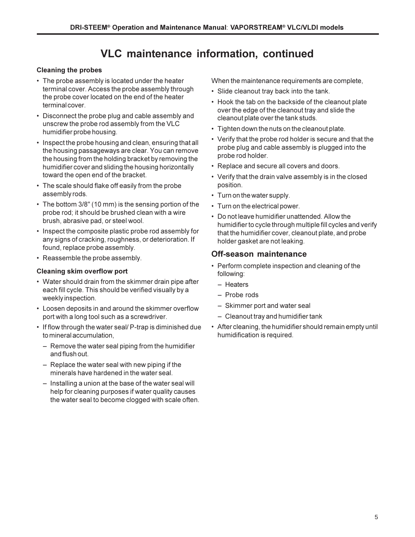## **VLC maintenance information, continued**

#### **Cleaning the probes**

- The probe assembly is located under the heater terminal cover. Access the probe assembly through the probe cover located on the end of the heater terminal cover.
- Disconnect the probe plug and cable assembly and unscrew the probe rod assembly from the VLC humidifier probe housing.
- Inspect the probe housing and clean, ensuring that all the housing passageways are clear. You can remove the housing from the holding bracket by removing the humidifier cover and sliding the housing horizontally toward the open end of the bracket.
- The scale should flake off easily from the probe assembly rods.
- The bottom 3/8" (10 mm) is the sensing portion of the probe rod; it should be brushed clean with a wire brush, abrasive pad, or steel wool.
- Inspect the composite plastic probe rod assembly for any signs of cracking, roughness, or deterioration. If found, replace probe assembly.
- Reassemble the probe assembly.

#### **Cleaning skim overflow port**

- Water should drain from the skimmer drain pipe after each fill cycle. This should be verified visually by a weekly inspection.
- Loosen deposits in and around the skimmer overflow port with a long tool such as a screwdriver.
- If flow through the water seal/ P-trap is diminished due to mineral accumulation,
	- Remove the water seal piping from the humidifier and flush out.
	- $-$  Replace the water seal with new piping if the minerals have hardened in the water seal.
	- $-$  Installing a union at the base of the water seal will help for cleaning purposes if water quality causes the water seal to become clogged with scale often.

When the maintenance requirements are complete,

- Slide cleanout tray back into the tank.
- Hook the tab on the backside of the cleanout plate over the edge of the cleanout tray and slide the cleanout plate over the tank studs.
- Tighten down the nuts on the cleanout plate.
- Verify that the probe rod holder is secure and that the probe plug and cable assembly is plugged into the probe rod holder.
- Replace and secure all covers and doors.
- Verify that the drain valve assembly is in the closed position.
- Turn on the water supply.
- Turn on the electrical power.
- Do not leave humidifier unattended. Allow the humidifier to cycle through multiple fill cycles and verify that the humidifier cover, cleanout plate, and probe holder gasket are not leaking.

#### **Off-season maintenance**

- Perform complete inspection and cleaning of the following:
	- Heaters
	- Probe rods
	- Skimmer port and water seal
	- Cleanout tray and humidifier tank
- After cleaning, the humidifier should remain empty until humidification is required.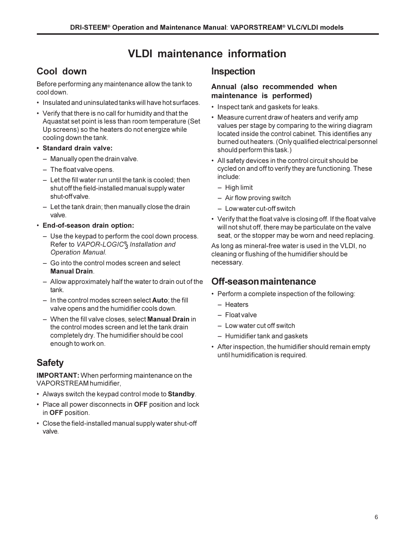## **VLDI maintenance information**

## **Cool down**

Before performing any maintenance allow the tank to cool down.

- Insulated and uninsulated tanks will have hot surfaces.
- Verify that there is no call for humidity and that the Aquastat set point is less than room temperature (Set Up screens) so the heaters do not energize while cooling down the tank.
- **Standard drain valve:**
	- $-$  Manually open the drain valve.
	- $-$  The float valve opens.
	- $-$  Let the fill water run until the tank is cooled; then shut off the field-installed manual supply water shut-off valve.
	- $-$  Let the tank drain; then manually close the drain valve.
- **End-of-season drain option:**
	- Use the keypad to perform the cool down process. Refer to *VAPOR-LOGIC® <sup>3</sup>Installation and Operation Manual*.
	- Go into the control modes screen and select **Manual Drain**.
	- Allow approximately half the water to drain out of the tank.
	- In the control modes screen select **Auto**; the fill valve opens and the humidifier cools down.
	- When the fill valve closes, select **Manual Drain** in the control modes screen and let the tank drain completely dry. The humidifier should be cool enough to work on.

## **Safety**

**IMPORTANT:** When performing maintenance on the VAPORSTREAM humidifier,

- Always switch the keypad control mode to **Standby**.
- Place all power disconnects in **OFF** position and lock in **OFF** position.
- Close the field-installed manual supply water shut-off valve.

## **Inspection**

#### **Annual (also recommended when maintenance is performed)**

- Inspect tank and gaskets for leaks.
- Measure current draw of heaters and verify amp values per stage by comparing to the wiring diagram located inside the control cabinet. This identifies any burned out heaters. (Only qualified electrical personnel should perform this task.)
- All safety devices in the control circuit should be cycled on and off to verify they are functioning. These include:
	- $-$  High limit
	- Air flow proving switch
	- Low water cut-off switch
- Verify that the float valve is closing off. If the float valve will not shut off, there may be particulate on the valve seat, or the stopper may be worn and need replacing.

As long as mineral-free water is used in the VLDI, no cleaning or flushing of the humidifier should be necessary.

## **Off-season maintenance**

- Perform a complete inspection of the following:
	- Heaters
	- Float valve
	- Low water cut off switch
	- Humidifier tank and gaskets
- After inspection, the humidifier should remain empty until humidification is required.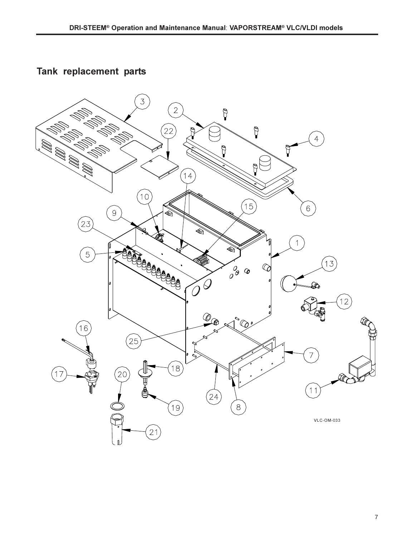**Tank replacement parts**

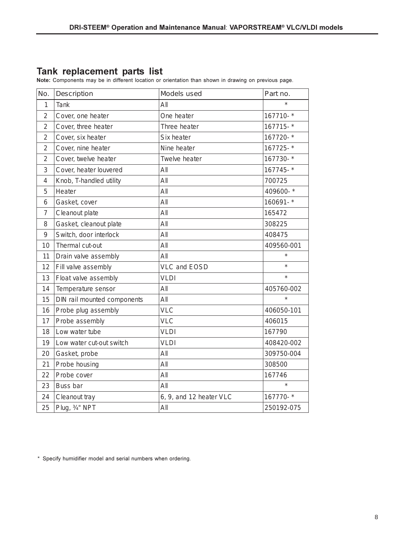Tank replacement parts list<br>Note: Components may be in different location or orientation than shown in drawing on previous page.

| No.            | Description                 | Models used             | Part no.   |
|----------------|-----------------------------|-------------------------|------------|
| $\mathbf{1}$   | <b>Tank</b>                 | All                     |            |
| 2              | Cover, one heater           | One heater              | 167710-*   |
| $\overline{2}$ | Cover, three heater         | Three heater            | 167715-*   |
| 2              | Cover, six heater           | Six heater              | 167720-*   |
| 2              | Cover, nine heater          | Nine heater             | 167725-*   |
| 2              | Cover, twelve heater        | Twelve heater           | 167730-*   |
| 3              | Cover, heater louvered      | All                     | 167745-*   |
| 4              | Knob, T-handled utility     | All                     | 700725     |
| 5              | Heater                      | All                     | 409600-*   |
| 6              | Gasket, cover               | All                     | 160691-*   |
| $\overline{7}$ | Cleanout plate              | All                     | 165472     |
| 8              | Gasket, cleanout plate      | All                     | 308225     |
| 9              | Switch, door interlock      | All                     | 408475     |
| 10             | Thermal cut-out             | All                     | 409560-001 |
| 11             | Drain valve assembly        | All                     | $\star$    |
| 12             | Fill valve assembly         | <b>VLC and EOSD</b>     | $\star$    |
| 13             | Float valve assembly        | <b>VLDI</b>             | $\star$    |
| 14             | Temperature sensor          | All                     | 405760-002 |
| 15             | DIN rail mounted components | All                     | $\star$    |
| 16             | Probe plug assembly         | <b>VLC</b>              | 406050-101 |
| 17             | Probe assembly              | <b>VLC</b>              | 406015     |
| 18             | Low water tube              | <b>VLDI</b>             | 167790     |
| 19             | Low water cut-out switch    | <b>VLDI</b>             | 408420-002 |
| 20             | Gasket, probe               | All                     | 309750-004 |
| 21             | Probe housing               | All                     | 308500     |
| 22             | Probe cover                 | All                     | 167746     |
| 23             | Buss bar                    | All                     | $\star$    |
| 24             | Cleanout tray               | 6, 9, and 12 heater VLC | 167770-*   |
| 25             | Plug, 3/4" NPT              | All                     | 250192-075 |

\* Specify humidifier model and serial numbers when ordering.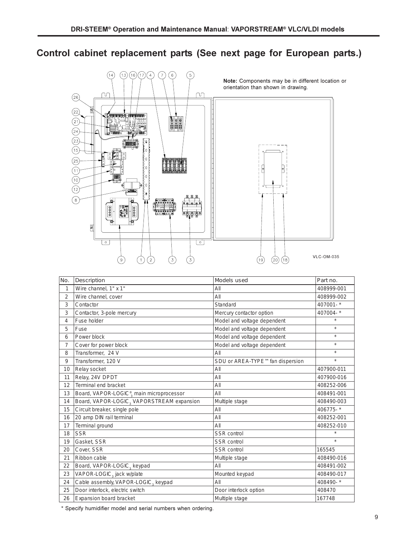## Control cabinet replacement parts (See next page for European parts.)



| No.            | Description                                           | Models used                     | Part no.   |
|----------------|-------------------------------------------------------|---------------------------------|------------|
| 1              | Wire channel, 1" x 1"                                 | All                             | 408999-001 |
| $\overline{2}$ | Wire channel, cover                                   | AlI                             | 408999-002 |
| 3              | Contactor                                             | Standard                        | 407001-*   |
| 3              | Contactor, 3-pole mercury                             | Mercury contactor option        | 407004-*   |
| 4              | Fuse holder                                           | Model and voltage dependent     | $\star$    |
| 5              | Fuse                                                  | Model and voltage dependent     | $\star$    |
| 6              | Power block                                           | Model and voltage dependent     | $\star$    |
| 7              | Cover for power block                                 | Model and voltage dependent     | $\star$    |
| 8              | Transformer, 24 V                                     | All                             | $\star$    |
| 9              | Transformer, 120 V                                    | SDU or AREA-TYPE™fan dispersion | $\star$    |
| 10             | Relay socket                                          | All                             | 407900-011 |
| 11             | Relay, 24V DPDT                                       | All                             | 407900-016 |
| 12             | Terminal end bracket                                  | AII                             | 408252-006 |
| 13             | Board, VAPOR-LOGIC <sup>®</sup> , main microprocessor | All                             | 408491-001 |
| 14             | Board, VAPOR-LOGIC, VAPORSTREAM expansion             | Multiple stage                  | 408490-003 |
| 15             | Circuit breaker, single pole                          | AII                             | 406775-*   |
| 16             | 20 amp DIN rail terminal                              | AlI                             | 408252-001 |
| 17             | Terminal ground                                       | All                             | 408252-010 |
| 18             | <b>SSR</b>                                            | SSR control                     |            |
| 19             | Gasket, SSR                                           | <b>SSR</b> control              | $\star$    |
| 20             | Cover, SSR                                            | <b>SSR</b> control              | 165545     |
| 21             | Ribbon cable                                          | Multiple stage                  | 408490-016 |
| 22             | Board, VAPOR-LOGIC <sub>3</sub> keypad                | All                             | 408491-002 |
| 23             | VAPOR-LOGIC, jack w/plate                             | Mounted keypad                  | 408490-017 |
| 24             | Cable assembly, VAPOR-LOGIC <sub>3</sub> keypad       | All                             | 408490-*   |
| 25             | Door interlock, electric switch                       | Door interlock option           | 408470     |
| 26             | Expansion board bracket                               | Multiple stage                  | 167748     |

\* Specify humidifier model and serial numbers when ordering.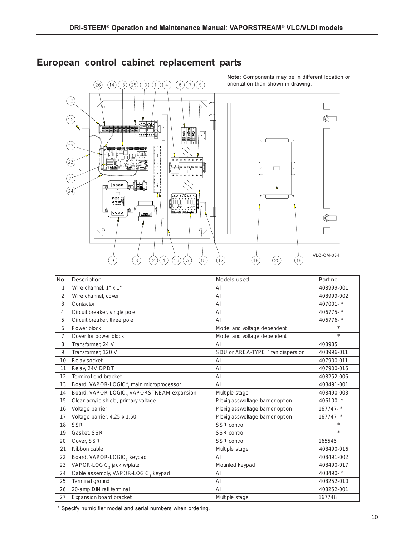

## European control cabinet replacement parts

| No.            | Description                                           | Models used                       | Part no.     |
|----------------|-------------------------------------------------------|-----------------------------------|--------------|
| 1              | Wire channel, 1" x 1"                                 | AlI                               | 408999-001   |
| $\overline{2}$ | Wire channel, cover                                   | AII                               | 408999-002   |
| 3              | Contactor                                             | All                               | 407001-*     |
| 4              | Circuit breaker, single pole                          | All                               | 406775-*     |
| 5              | Circuit breaker, three pole                           | All                               | 406776-*     |
| 6              | Power block                                           | Model and voltage dependent       |              |
| $\overline{7}$ | Cover for power block                                 | Model and voltage dependent       | $\star$      |
| 8              | Transformer, 24 V                                     | All                               |              |
| 9              | Transformer, 120 V                                    | SDU or AREA-TYPE™fan dispersion   | 408996-011   |
| 10             | Relay socket                                          | All                               | 407900-011   |
| 11             | Relay, 24V DPDT                                       | All                               | 407900-016   |
| 12             | Terminal end bracket                                  | All                               | 408252-006   |
| 13             | Board, VAPOR-LOGIC <sup>®</sup> , main microprocessor | All                               | 408491-001   |
| 14             | Board, VAPOR-LOGIC, VAPORSTREAM expansion             | Multiple stage                    | 408490-003   |
| 15             | Clear acrylic shield, primary voltage                 | Plexiglass/voltage barrier option | 406100-*     |
| 16             | Voltage barrier                                       | Plexiglass/voltage barrier option | 167747-*     |
| 17             | Voltage barrier, 4.25 x 1.50                          | Plexiglass/voltage barrier option | $167747 -$ * |
| 18             | <b>SSR</b>                                            | <b>SSR</b> control                |              |
| 19             | Gasket, SSR                                           | <b>SSR</b> control                | $\star$      |
| 20             | Cover, SSR                                            | <b>SSR</b> control                | 165545       |
| 21             | Ribbon cable                                          | Multiple stage                    | 408490-016   |
| 22             | Board, VAPOR-LOGIC, keypad                            | All                               | 408491-002   |
| 23             | VAPOR-LOGIC, jack w/plate                             | Mounted keypad                    | 408490-017   |
| 24             | Cable assembly, VAPOR-LOGIC, keypad                   | All                               | 408490-*     |
| 25             | Terminal ground                                       | All                               | 408252-010   |
| 26             | 20-amp DIN rail terminal                              | All                               | 408252-001   |
| 27             | Expansion board bracket                               | Multiple stage                    | 167748       |

\* Specify humidifier model and serial numbers when ordering.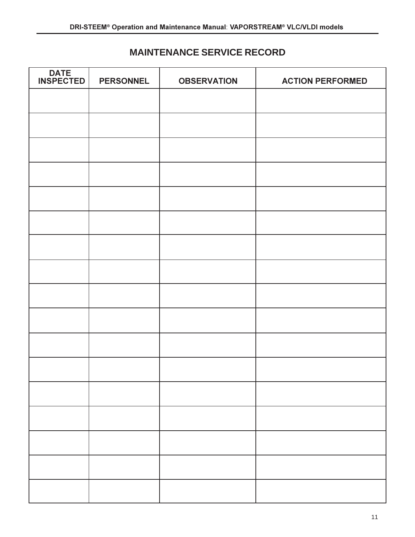## **MAINTENANCE SERVICE RECORD**

| <b>DATE</b><br><b>INSPECTED</b> | <b>PERSONNEL</b> | <b>OBSERVATION</b> | <b>ACTION PERFORMED</b> |
|---------------------------------|------------------|--------------------|-------------------------|
|                                 |                  |                    |                         |
|                                 |                  |                    |                         |
|                                 |                  |                    |                         |
|                                 |                  |                    |                         |
|                                 |                  |                    |                         |
|                                 |                  |                    |                         |
|                                 |                  |                    |                         |
|                                 |                  |                    |                         |
|                                 |                  |                    |                         |
|                                 |                  |                    |                         |
|                                 |                  |                    |                         |
|                                 |                  |                    |                         |
|                                 |                  |                    |                         |
|                                 |                  |                    |                         |
|                                 |                  |                    |                         |
|                                 |                  |                    |                         |
|                                 |                  |                    |                         |